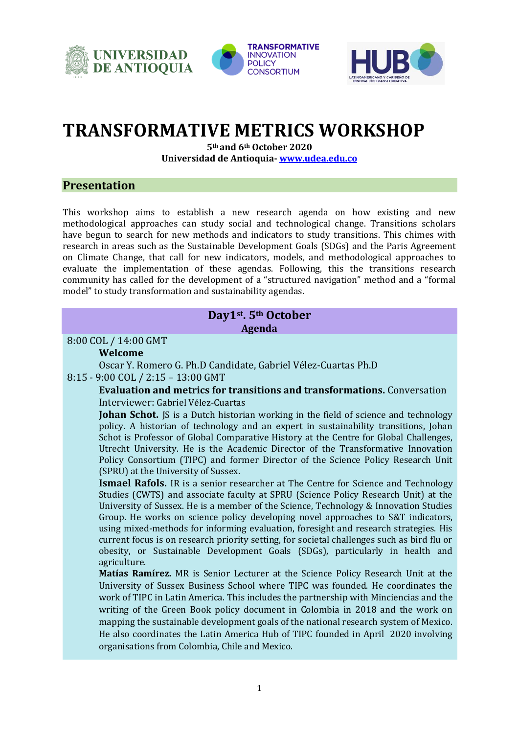





# **TRANSFORMATIVE METRICS WORKSHOP**

**5th and 6th October 2020 Universidad de Antioquia- [www.udea.edu.co](http://www.udea.edu.co/)**

# **Presentation**

This workshop aims to establish a new research agenda on how existing and new methodological approaches can study social and technological change. Transitions scholars have begun to search for new methods and indicators to study transitions. This chimes with research in areas such as the Sustainable Development Goals (SDGs) and the Paris Agreement on Climate Change, that call for new indicators, models, and methodological approaches to evaluate the implementation of these agendas. Following, this the transitions research community has called for the development of a "structured navigation" method and a "formal model" to study transformation and sustainability agendas.

# **Day1st . 5th October Agenda**

#### 8:00 COL / 14:00 GMT

#### **Welcome**

Oscar Y. Romero G. Ph.D Candidate, Gabriel Vélez-Cuartas Ph.D 8:15 - 9:00 COL / 2:15 – 13:00 GMT

> **Evaluation and metrics for transitions and transformations.** Conversation Interviewer: Gabriel Vélez-Cuartas

**Johan Schot.** IS is a Dutch historian working in the field of science and technology policy. A historian of technology and an expert in sustainability transitions, Johan Schot is Professor of Global Comparative History at the Centre for Global Challenges, Utrecht University. He is the Academic Director of the Transformative Innovation Policy Consortium (TIPC) and former Director of the Science Policy Research Unit (SPRU) at the University of Sussex.

**Ismael Rafols.** IR is a senior researcher at The Centre for Science and Technology Studies (CWTS) and associate faculty at SPRU (Science Policy Research Unit) at the University of Sussex. He is a member of the Science, Technology & Innovation Studies Group. He works on science policy developing novel approaches to S&T indicators, using mixed-methods for informing evaluation, foresight and research strategies. His current focus is on research priority setting, for societal challenges such as bird flu or obesity, or Sustainable Development Goals (SDGs), particularly in health and agriculture.

**Matías Ramírez.** MR is Senior Lecturer at the Science Policy Research Unit at the University of Sussex Business School where TIPC was founded. He coordinates the work of TIPC in Latin America. This includes the partnership with Minciencias and the writing of the Green Book policy document in Colombia in 2018 and the work on mapping the sustainable development goals of the national research system of Mexico. He also coordinates the Latin America Hub of TIPC founded in April 2020 involving organisations from Colombia, Chile and Mexico.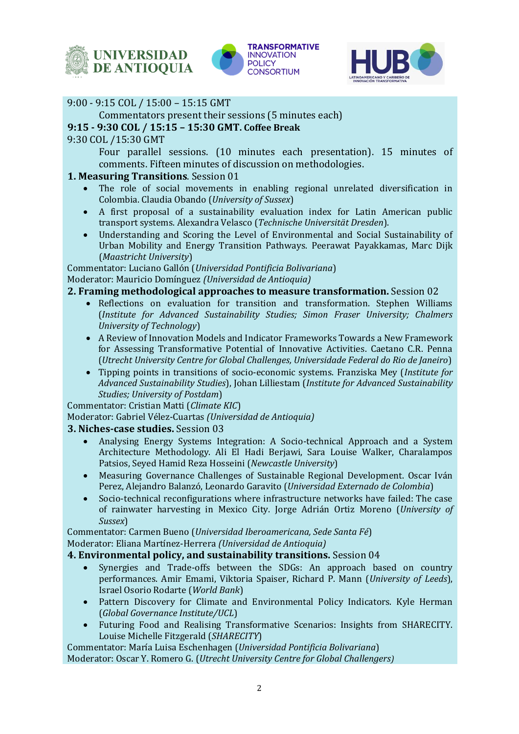





# 9:00 - 9:15 COL / 15:00 – 15:15 GMT

Commentators present their sessions (5 minutes each)

## **9:15 - 9:30 COL / 15:15 – 15:30 GMT. Coffee Break**

9:30 COL /15:30 GMT

Four parallel sessions. (10 minutes each presentation). 15 minutes of comments. Fifteen minutes of discussion on methodologies.

## **1. Measuring Transitions**. Session 01

- The role of social movements in enabling regional unrelated diversification in Colombia. Claudia Obando (*University of Sussex*)
- A first proposal of a sustainability evaluation index for Latin American public transport systems. Alexandra Velasco (*Technische Universität Dresden*).
- Understanding and Scoring the Level of Environmental and Social Sustainability of Urban Mobility and Energy Transition Pathways. Peerawat Payakkamas, Marc Dijk (*Maastricht University*)

Commentator: Luciano Gallón (*Universidad Pontificia Bolivariana*)

Moderator: Mauricio Domínguez *(Universidad de Antioquia)*

## **2. Framing methodological approaches to measure transformation.** Session 02

- Reflections on evaluation for transition and transformation. Stephen Williams (*Institute for Advanced Sustainability Studies; Simon Fraser University; Chalmers University of Technology*)
- A Review of Innovation Models and Indicator Frameworks Towards a New Framework for Assessing Transformative Potential of Innovative Activities. Caetano C.R. Penna (*Utrecht University Centre for Global Challenges, Universidade Federal do Rio de Janeiro*)
- Tipping points in transitions of socio-economic systems. Franziska Mey (*Institute for Advanced Sustainability Studies*), Johan Lilliestam (*Institute for Advanced Sustainability Studies; University of Postdam*)

Commentator: Cristian Matti (*Climate KIC*)

Moderator: Gabriel Vélez-Cuartas *(Universidad de Antioquia)*

#### **3. Niches-case studies.** Session 03

- Analysing Energy Systems Integration: A Socio-technical Approach and a System Architecture Methodology. Ali El Hadi Berjawi, Sara Louise Walker, Charalampos Patsios, Seyed Hamid Reza Hosseini (*Newcastle University*)
- Measuring Governance Challenges of Sustainable Regional Development. Oscar Iván Perez, Alejandro Balanzó, Leonardo Garavito (*Universidad Externado de Colombia*)
- Socio-technical reconfigurations where infrastructure networks have failed: The case of rainwater harvesting in Mexico City. Jorge Adrián Ortiz Moreno (*University of Sussex*)

Commentator: Carmen Bueno (*Universidad Iberoamericana, Sede Santa Fé*) Moderator: Eliana Martínez-Herrera *(Universidad de Antioquia)*

#### **4. Environmental policy, and sustainability transitions.** Session 04

- Synergies and Trade-offs between the SDGs: An approach based on country performances. Amir Emami, Viktoria Spaiser, Richard P. Mann (*University of Leeds*), Israel Osorio Rodarte (*World Bank*)
- Pattern Discovery for Climate and Environmental Policy Indicators. Kyle Herman (*Global Governance Institute/UCL*)
- Futuring Food and Realising Transformative Scenarios: Insights from SHARECITY. Louise Michelle Fitzgerald (*SHARECITY*)

Commentator: María Luisa Eschenhagen (*Universidad Pontificia Bolivariana*) Moderator: Oscar Y. Romero G. (*Utrecht University Centre for Global Challengers)*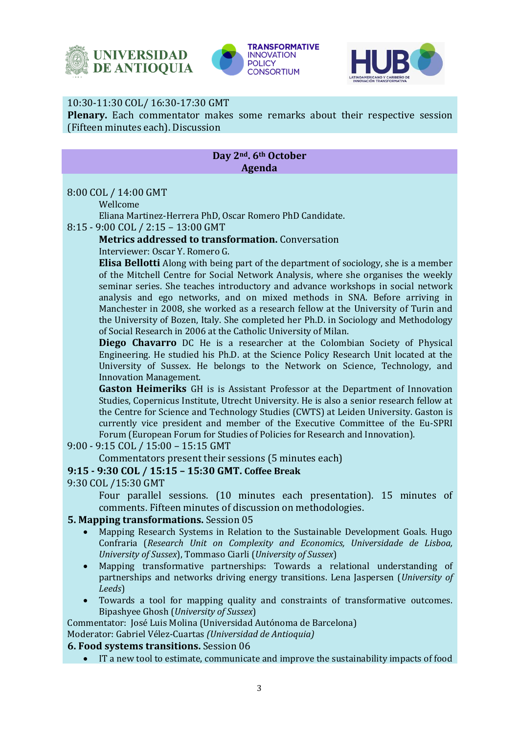





## 10:30-11:30 COL/ 16:30-17:30 GMT

**Plenary.** Each commentator makes some remarks about their respective session (Fifteen minutes each). Discussion

## **Day 2nd. 6th October Agenda**

#### 8:00 COL / 14:00 GMT

Wellcome

Eliana Martinez-Herrera PhD, Oscar Romero PhD Candidate.

8:15 - 9:00 COL / 2:15 – 13:00 GMT

**Metrics addressed to transformation.** Conversation Interviewer: Oscar Y. Romero G.

**Elisa Bellotti** Along with being part of the department of sociology, she is a member of the Mitchell Centre for Social Network Analysis, where she organises the weekly seminar series. She teaches introductory and advance workshops in social network analysis and ego networks, and on mixed methods in SNA. Before arriving in Manchester in 2008, she worked as a research fellow at the University of Turin and the University of Bozen, Italy. She completed her Ph.D. in Sociology and Methodology of Social Research in 2006 at the Catholic University of Milan.

**Diego Chavarro** DC He is a researcher at the Colombian Society of Physical Engineering. He studied his Ph.D. at the Science Policy Research Unit located at the University of Sussex. He belongs to the Network on Science, Technology, and Innovation Management.

**Gaston Heimeriks** GH is is Assistant Professor at the Department of Innovation Studies, Copernicus Institute, Utrecht University. He is also a senior research fellow at the Centre for Science and Technology Studies (CWTS) at Leiden University. Gaston is currently vice president and member of the Executive Committee of the Eu-SPRI Forum (European Forum for Studies of Policies for Research and Innovation).

9:00 - 9:15 COL / 15:00 – 15:15 GMT

Commentators present their sessions (5 minutes each)

# **9:15 - 9:30 COL / 15:15 – 15:30 GMT. Coffee Break**

9:30 COL /15:30 GMT

Four parallel sessions. (10 minutes each presentation). 15 minutes of comments. Fifteen minutes of discussion on methodologies.

#### **5. Mapping transformations.** Session 05

- Mapping Research Systems in Relation to the Sustainable Development Goals. Hugo Confraria (*Research Unit on Complexity and Economics, Universidade de Lisboa, University of Sussex*), Tommaso Ciarli (*University of Sussex*)
- Mapping transformative partnerships: Towards a relational understanding of partnerships and networks driving energy transitions. Lena Jaspersen (*University of Leeds*)
- Towards a tool for mapping quality and constraints of transformative outcomes. Bipashyee Ghosh (*University of Sussex*)

Commentator: José Luis Molina (Universidad Autónoma de Barcelona)

Moderator: Gabriel Vélez-Cuartas *(Universidad de Antioquia)*

#### **6. Food systems transitions.** Session 06

• IT a new tool to estimate, communicate and improve the sustainability impacts of food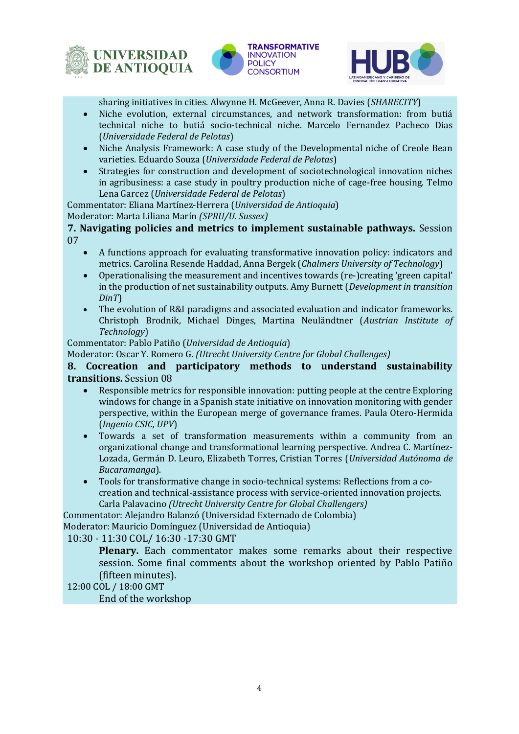





sharing initiatives in cities. Alwynne H. McGeever, Anna R. Davies (*SHARECITY*)

- Niche evolution, external circumstances, and network transformation: from butiá technical niche to butiá socio-technical niche. Marcelo Fernandez Pacheco Dias (*Universidade Federal de Pelotas*)
- Niche Analysis Framework: A case study of the Developmental niche of Creole Bean varieties. Eduardo Souza (*Universidade Federal de Pelotas*)
- Strategies for construction and development of sociotechnological innovation niches in agribusiness: a case study in poultry production niche of cage-free housing. Telmo Lena Garcez (*Universidade Federal de Pelotas*)

Commentator: Eliana Martínez-Herrera (*Universidad de Antioquia*)

#### Moderator: Marta Liliana Marín *(SPRU/U. Sussex)*

**7. Navigating policies and metrics to implement sustainable pathways.** Session 07

- A functions approach for evaluating transformative innovation policy: indicators and metrics. Carolina Resende Haddad, Anna Bergek (*Chalmers University of Technology*)
- Operationalising the measurement and incentives towards (re-)creating 'green capital' in the production of net sustainability outputs. Amy Burnett (*Development in transition DinT*)
- The evolution of R&I paradigms and associated evaluation and indicator frameworks. Christoph Brodnik, Michael Dinges, Martina Neuländtner (*Austrian Institute of Technology*)

#### Commentator: Pablo Patiño (*Universidad de Antioquia*)

Moderator: Oscar Y. Romero G. *(Utrecht University Centre for Global Challenges)*

## **8. Cocreation and participatory methods to understand sustainability transitions.** Session 08

- Responsible metrics for responsible innovation: putting people at the centre Exploring windows for change in a Spanish state initiative on innovation monitoring with gender perspective, within the European merge of governance frames. Paula Otero-Hermida (*Ingenio CSIC, UPV*)
- Towards a set of transformation measurements within a community from an organizational change and transformational learning perspective. Andrea C. Martínez-Lozada, Germán D. Leuro, Elizabeth Torres, Cristian Torres (*Universidad Autónoma de Bucaramanga*).
- Tools for transformative change in socio-technical systems: Reflections from a cocreation and technical-assistance process with service-oriented innovation projects. Carla Palavacino *(Utrecht University Centre for Global Challengers)*

Commentator: Alejandro Balanzó (Universidad Externado de Colombia)

Moderator: Mauricio Domínguez (Universidad de Antioquia)

10:30 - 11:30 COL/ 16:30 -17:30 GMT

**Plenary.** Each commentator makes some remarks about their respective session. Some final comments about the workshop oriented by Pablo Patiño (fifteen minutes).

12:00 COL / 18:00 GMT

End of the workshop